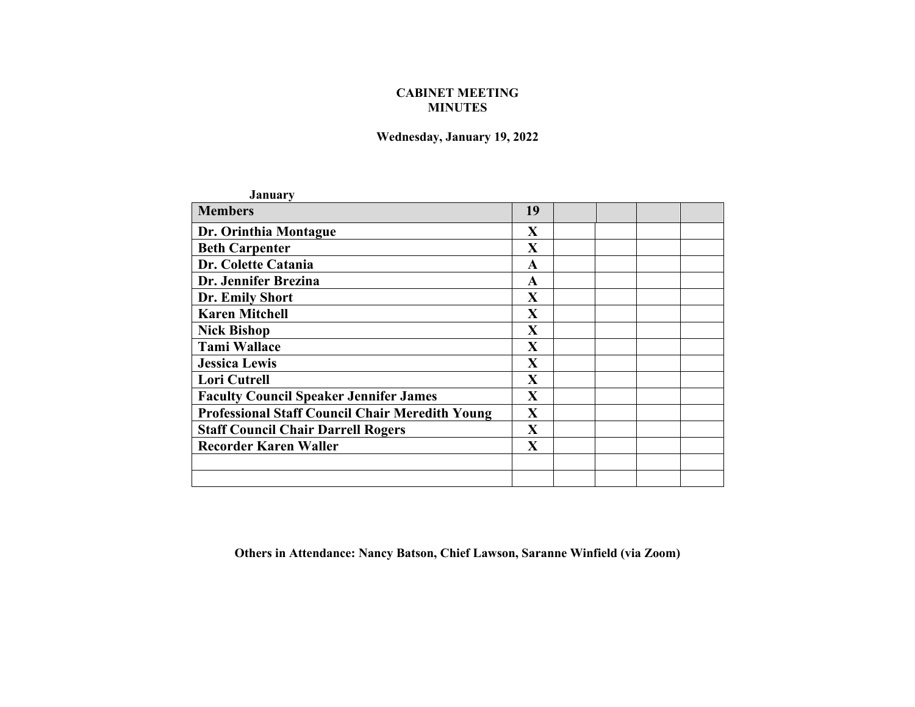## **CABINET MEETING MINUTES**

## **Wednesday, January 19, 2022**

| <b>January</b>                                         |              |  |
|--------------------------------------------------------|--------------|--|
| <b>Members</b>                                         | 19           |  |
| Dr. Orinthia Montague                                  | X            |  |
| <b>Beth Carpenter</b>                                  | $\mathbf{X}$ |  |
| Dr. Colette Catania                                    | A            |  |
| Dr. Jennifer Brezina                                   | $\mathbf A$  |  |
| Dr. Emily Short                                        | $\mathbf X$  |  |
| <b>Karen Mitchell</b>                                  | $\mathbf X$  |  |
| <b>Nick Bishop</b>                                     | $\mathbf X$  |  |
| <b>Tami Wallace</b>                                    | $\mathbf X$  |  |
| <b>Jessica Lewis</b>                                   | $\mathbf X$  |  |
| Lori Cutrell                                           | $\mathbf X$  |  |
| <b>Faculty Council Speaker Jennifer James</b>          | X            |  |
| <b>Professional Staff Council Chair Meredith Young</b> | X            |  |
| <b>Staff Council Chair Darrell Rogers</b>              | $\mathbf{X}$ |  |
| <b>Recorder Karen Waller</b>                           | $\mathbf X$  |  |
|                                                        |              |  |
|                                                        |              |  |
|                                                        |              |  |

**Others in Attendance: Nancy Batson, Chief Lawson, Saranne Winfield (via Zoom)**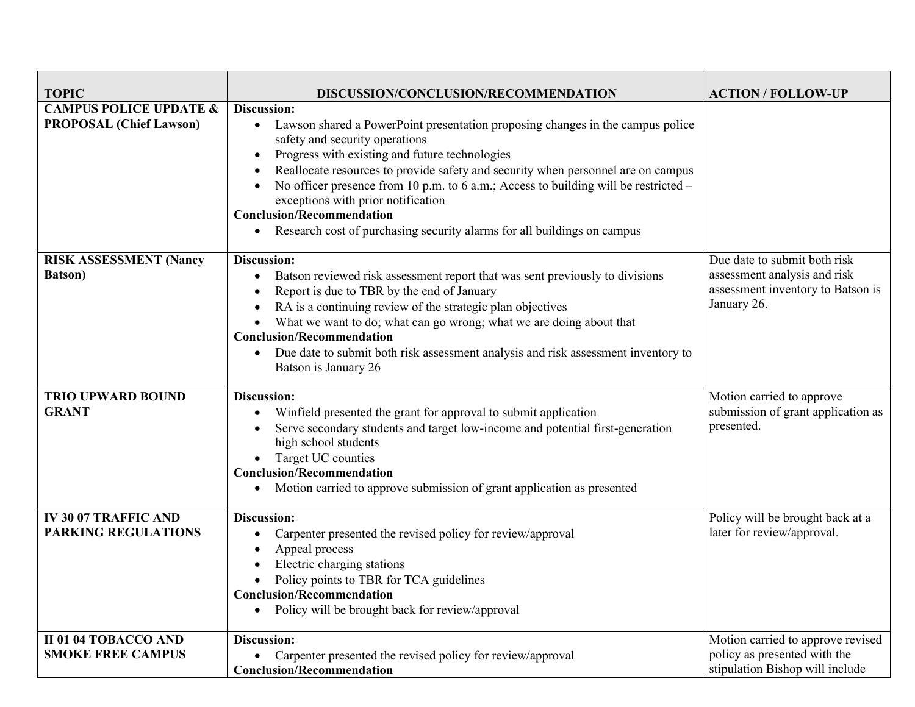| <b>TOPIC</b>                                                        | DISCUSSION/CONCLUSION/RECOMMENDATION                                                                                                                                                                                                                                                                                                                                                                                                                                                                                             | <b>ACTION / FOLLOW-UP</b>                                                                                        |
|---------------------------------------------------------------------|----------------------------------------------------------------------------------------------------------------------------------------------------------------------------------------------------------------------------------------------------------------------------------------------------------------------------------------------------------------------------------------------------------------------------------------------------------------------------------------------------------------------------------|------------------------------------------------------------------------------------------------------------------|
|                                                                     |                                                                                                                                                                                                                                                                                                                                                                                                                                                                                                                                  |                                                                                                                  |
| <b>CAMPUS POLICE UPDATE &amp;</b><br><b>PROPOSAL (Chief Lawson)</b> | Discussion:<br>• Lawson shared a PowerPoint presentation proposing changes in the campus police<br>safety and security operations<br>Progress with existing and future technologies<br>Reallocate resources to provide safety and security when personnel are on campus<br>No officer presence from 10 p.m. to 6 a.m.; Access to building will be restricted -<br>exceptions with prior notification<br><b>Conclusion/Recommendation</b><br>Research cost of purchasing security alarms for all buildings on campus<br>$\bullet$ |                                                                                                                  |
| <b>RISK ASSESSMENT (Nancy</b><br><b>Batson</b> )                    | Discussion:<br>Batson reviewed risk assessment report that was sent previously to divisions<br>$\bullet$<br>Report is due to TBR by the end of January<br>RA is a continuing review of the strategic plan objectives<br>What we want to do; what can go wrong; what we are doing about that<br><b>Conclusion/Recommendation</b><br>Due date to submit both risk assessment analysis and risk assessment inventory to<br>Batson is January 26                                                                                     | Due date to submit both risk<br>assessment analysis and risk<br>assessment inventory to Batson is<br>January 26. |
| <b>TRIO UPWARD BOUND</b><br><b>GRANT</b>                            | Discussion:<br>Winfield presented the grant for approval to submit application<br>Serve secondary students and target low-income and potential first-generation<br>high school students<br>Target UC counties<br><b>Conclusion/Recommendation</b><br>Motion carried to approve submission of grant application as presented                                                                                                                                                                                                      | Motion carried to approve<br>submission of grant application as<br>presented.                                    |
| <b>IV 30 07 TRAFFIC AND</b><br><b>PARKING REGULATIONS</b>           | Discussion:<br>Carpenter presented the revised policy for review/approval<br>Appeal process<br>Electric charging stations<br>Policy points to TBR for TCA guidelines<br><b>Conclusion/Recommendation</b><br>Policy will be brought back for review/approval                                                                                                                                                                                                                                                                      | Policy will be brought back at a<br>later for review/approval.                                                   |
| <b>II 01 04 TOBACCO AND</b><br><b>SMOKE FREE CAMPUS</b>             | Discussion:<br>Carpenter presented the revised policy for review/approval<br><b>Conclusion/Recommendation</b>                                                                                                                                                                                                                                                                                                                                                                                                                    | Motion carried to approve revised<br>policy as presented with the<br>stipulation Bishop will include             |